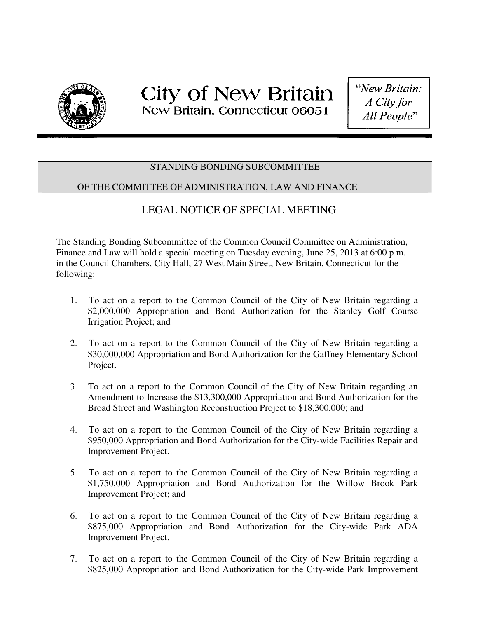

## STANDING BONDING SUBCOMMITTEE

## OF THE COMMITTEE OF ADMINISTRATION, LAW AND FINANCE

## LEGAL NOTICE OF SPECIAL MEETING

The Standing Bonding Subcommittee of the Common Council Committee on Administration, Finance and Law will hold a special meeting on Tuesday evening, June 25, 2013 at 6:00 p.m. in the Council Chambers, City Hall, 27 West Main Street, New Britain, Connecticut for the following:

- 1. To act on a report to the Common Council of the City of New Britain regarding a \$2,000,000 Appropriation and Bond Authorization for the Stanley Golf Course Irrigation Project; and
- 2. To act on a report to the Common Council of the City of New Britain regarding a \$30,000,000 Appropriation and Bond Authorization for the Gaffney Elementary School Project.
- 3. To act on a report to the Common Council of the City of New Britain regarding an Amendment to Increase the \$13,300,000 Appropriation and Bond Authorization for the Broad Street and Washington Reconstruction Project to \$18,300,000; and
- 4. To act on a report to the Common Council of the City of New Britain regarding a \$950,000 Appropriation and Bond Authorization for the City-wide Facilities Repair and Improvement Project.
- 5. To act on a report to the Common Council of the City of New Britain regarding a \$1,750,000 Appropriation and Bond Authorization for the Willow Brook Park Improvement Project; and
- 6. To act on a report to the Common Council of the City of New Britain regarding a \$875,000 Appropriation and Bond Authorization for the City-wide Park ADA Improvement Project.
- 7. To act on a report to the Common Council of the City of New Britain regarding a \$825,000 Appropriation and Bond Authorization for the City-wide Park Improvement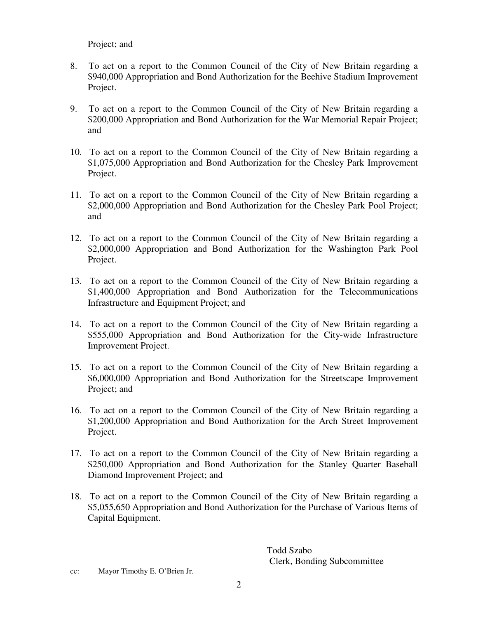Project; and

- 8. To act on a report to the Common Council of the City of New Britain regarding a \$940,000 Appropriation and Bond Authorization for the Beehive Stadium Improvement Project.
- 9. To act on a report to the Common Council of the City of New Britain regarding a \$200,000 Appropriation and Bond Authorization for the War Memorial Repair Project; and
- 10. To act on a report to the Common Council of the City of New Britain regarding a \$1,075,000 Appropriation and Bond Authorization for the Chesley Park Improvement Project.
- 11. To act on a report to the Common Council of the City of New Britain regarding a \$2,000,000 Appropriation and Bond Authorization for the Chesley Park Pool Project; and
- 12. To act on a report to the Common Council of the City of New Britain regarding a \$2,000,000 Appropriation and Bond Authorization for the Washington Park Pool Project.
- 13. To act on a report to the Common Council of the City of New Britain regarding a \$1,400,000 Appropriation and Bond Authorization for the Telecommunications Infrastructure and Equipment Project; and
- 14. To act on a report to the Common Council of the City of New Britain regarding a \$555,000 Appropriation and Bond Authorization for the City-wide Infrastructure Improvement Project.
- 15. To act on a report to the Common Council of the City of New Britain regarding a \$6,000,000 Appropriation and Bond Authorization for the Streetscape Improvement Project; and
- 16. To act on a report to the Common Council of the City of New Britain regarding a \$1,200,000 Appropriation and Bond Authorization for the Arch Street Improvement Project.
- 17. To act on a report to the Common Council of the City of New Britain regarding a \$250,000 Appropriation and Bond Authorization for the Stanley Ouarter Baseball Diamond Improvement Project; and
- 18. To act on a report to the Common Council of the City of New Britain regarding a \$5,055,650 Appropriation and Bond Authorization for the Purchase of Various Items of Capital Equipment.

 Todd Szabo Clerk, Bonding Subcommittee

cc: Mayor Timothy E. O'Brien Jr.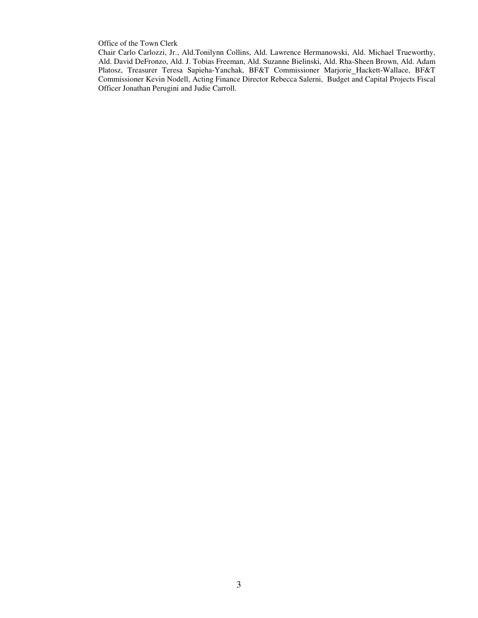Office of the Town Clerk

Chair Carlo Carlozzi, Jr., Ald.Tonilynn Collins, Ald. Lawrence Hermanowski, Ald. Michael Trueworthy, Ald. David DeFronzo, Ald. J. Tobias Freeman, Ald. Suzanne Bielinski, Ald. Rha-Sheen Brown, Ald. Adam Platosz, Treasurer Teresa Sapieha-Yanchak, BF&T Commissioner Marjorie Hackett-Wallace, BF&T Commissioner Kevin Nodell, Acting Finance Director Rebecca Salerni, Budget and Capital Projects Fiscal Officer Jonathan Perugini and Judie Carroll.